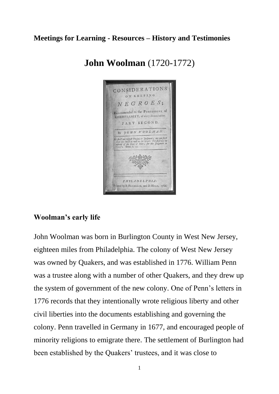## **Meetings for Learning - Resources – History and Testimonies**



# **John Woolman** (1720-1772)

#### **Woolman's early life**

John Woolman was born in Burlington County in West New Jersey, eighteen miles from Philadelphia. The colony of West New Jersey was owned by Quakers, and was established in 1776. William Penn was a trustee along with a number of other Quakers, and they drew up the system of government of the new colony. One of Penn's letters in 1776 records that they intentionally wrote religious liberty and other civil liberties into the documents establishing and governing the colony. Penn travelled in Germany in 1677, and encouraged people of minority religions to emigrate there. The settlement of Burlington had been established by the Quakers' trustees, and it was close to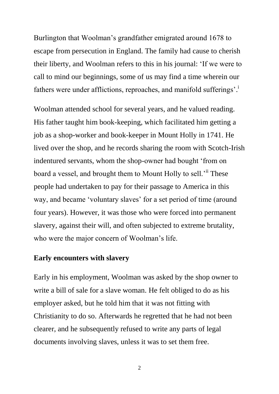Burlington that Woolman's grandfather emigrated around 1678 to escape from persecution in England. The family had cause to cherish their liberty, and Woolman refers to this in his journal: 'If we were to call to mind our beginnings, some of us may find a time wherein our fathers were under afflictions, reproaches, and manifold sufferings'.

Woolman attended school for several years, and he valued reading. His father taught him book-keeping, which facilitated him getting a job as a shop-worker and book-keeper in Mount Holly in 1741. He lived over the shop, and he records sharing the room with Scotch-Irish indentured servants, whom the shop-owner had bought 'from on board a vessel, and brought them to Mount Holly to sell.<sup>'ii</sup> These people had undertaken to pay for their passage to America in this way, and became 'voluntary slaves' for a set period of time (around four years). However, it was those who were forced into permanent slavery, against their will, and often subjected to extreme brutality, who were the major concern of Woolman's life.

#### **Early encounters with slavery**

Early in his employment, Woolman was asked by the shop owner to write a bill of sale for a slave woman. He felt obliged to do as his employer asked, but he told him that it was not fitting with Christianity to do so. Afterwards he regretted that he had not been clearer, and he subsequently refused to write any parts of legal documents involving slaves, unless it was to set them free.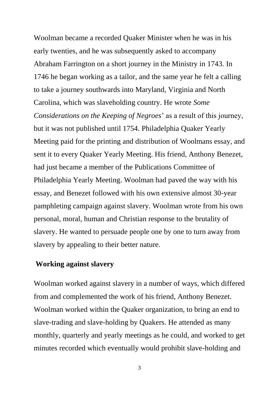Woolman became a recorded Quaker Minister when he was in his early twenties, and he was subsequently asked to accompany Abraham Farrington on a short journey in the Ministry in 1743. In 1746 he began working as a tailor, and the same year he felt a calling to take a journey southwards into Maryland, Virginia and North Carolina, which was slaveholding country. He wrote *Some Considerations on the Keeping of Negroes*' as a result of this journey, but it was not published until 1754. Philadelphia Quaker Yearly Meeting paid for the printing and distribution of Woolmans essay, and sent it to every Quaker Yearly Meeting. His friend, Anthony Benezet, had just became a member of the Publications Committee of Philadelphia Yearly Meeting. Woolman had paved the way with his essay, and Benezet followed with his own extensive almost 30-year pamphleting campaign against slavery. Woolman wrote from his own personal, moral, human and Christian response to the brutality of slavery. He wanted to persuade people one by one to turn away from slavery by appealing to their better nature.

### **Working against slavery**

Woolman worked against slavery in a number of ways, which differed from and complemented the work of his friend, Anthony Benezet. Woolman worked within the Quaker organization, to bring an end to slave-trading and slave-holding by Quakers. He attended as many monthly, quarterly and yearly meetings as he could, and worked to get minutes recorded which eventually would prohibit slave-holding and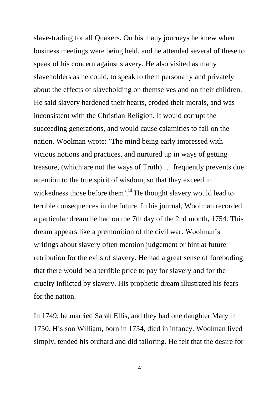slave-trading for all Quakers. On his many journeys he knew when business meetings were being held, and he attended several of these to speak of his concern against slavery. He also visited as many slaveholders as he could, to speak to them personally and privately about the effects of slaveholding on themselves and on their children. He said slavery hardened their hearts, eroded their morals, and was inconsistent with the Christian Religion. It would corrupt the succeeding generations, and would cause calamities to fall on the nation. Woolman wrote: 'The mind being early impressed with vicious notions and practices, and nurtured up in ways of getting treasure, (which are not the ways of Truth) … frequently prevents due attention to the true spirit of wisdom, so that they exceed in wickedness those before them'.<sup>iii</sup> He thought slavery would lead to terrible consequences in the future. In his journal, Woolman recorded a particular dream he had on the 7th day of the 2nd month, 1754. This dream appears like a premonition of the civil war. Woolman's writings about slavery often mention judgement or hint at future retribution for the evils of slavery. He had a great sense of foreboding that there would be a terrible price to pay for slavery and for the cruelty inflicted by slavery. His prophetic dream illustrated his fears for the nation.

In 1749, he married Sarah Ellis, and they had one daughter Mary in 1750. His son William, born in 1754, died in infancy. Woolman lived simply, tended his orchard and did tailoring. He felt that the desire for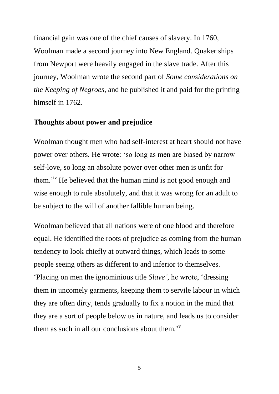financial gain was one of the chief causes of slavery. In 1760, Woolman made a second journey into New England. Quaker ships from Newport were heavily engaged in the slave trade. After this journey, Woolman wrote the second part of *Some considerations on the Keeping of Negroes*, and he published it and paid for the printing himself in 1762.

### **Thoughts about power and prejudice**

Woolman thought men who had self-interest at heart should not have power over others. He wrote: 'so long as men are biased by narrow self-love, so long an absolute power over other men is unfit for them.<sup>'iv</sup> He believed that the human mind is not good enough and wise enough to rule absolutely, and that it was wrong for an adult to be subject to the will of another fallible human being.

Woolman believed that all nations were of one blood and therefore equal. He identified the roots of prejudice as coming from the human tendency to look chiefly at outward things, which leads to some people seeing others as different to and inferior to themselves. 'Placing on men the ignominious title *Slave'*, he wrote, 'dressing them in uncomely garments, keeping them to servile labour in which they are often dirty, tends gradually to fix a notion in the mind that they are a sort of people below us in nature, and leads us to consider them as such in all our conclusions about them.<sup> $v$ </sup>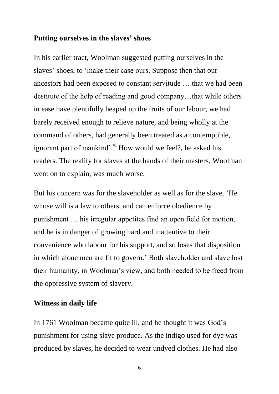#### **Putting ourselves in the slaves' shoes**

In his earlier tract, Woolman suggested putting ourselves in the slaves' shoes, to 'make their case ours. Suppose then that our ancestors had been exposed to constant servitude … that we had been destitute of the help of reading and good company…that while others in ease have plentifully heaped up the fruits of our labour, we had barely received enough to relieve nature, and being wholly at the command of others, had generally been treated as a contemptible, ignorant part of mankind'.<sup>vi</sup> How would we feel?, he asked his readers. The reality for slaves at the hands of their masters, Woolman went on to explain, was much worse.

But his concern was for the slaveholder as well as for the slave. 'He whose will is a law to others, and can enforce obedience by punishment … his irregular appetites find an open field for motion, and he is in danger of growing hard and inattentive to their convenience who labour for his support, and so loses that disposition in which alone men are fit to govern.' Both slaveholder and slave lost their humanity, in Woolman's view, and both needed to be freed from the oppressive system of slavery.

#### **Witness in daily life**

In 1761 Woolman became quite ill, and he thought it was God's punishment for using slave produce. As the indigo used for dye was produced by slaves, he decided to wear undyed clothes. He had also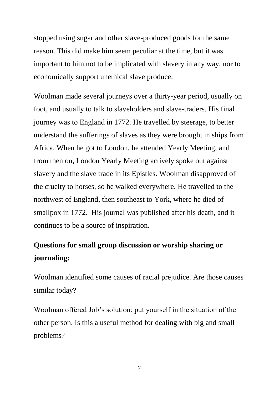stopped using sugar and other slave-produced goods for the same reason. This did make him seem peculiar at the time, but it was important to him not to be implicated with slavery in any way, nor to economically support unethical slave produce.

Woolman made several journeys over a thirty-year period, usually on foot, and usually to talk to slaveholders and slave-traders. His final journey was to England in 1772. He travelled by steerage, to better understand the sufferings of slaves as they were brought in ships from Africa. When he got to London, he attended Yearly Meeting, and from then on, London Yearly Meeting actively spoke out against slavery and the slave trade in its Epistles. Woolman disapproved of the cruelty to horses, so he walked everywhere. He travelled to the northwest of England, then southeast to York, where he died of smallpox in 1772. His journal was published after his death, and it continues to be a source of inspiration.

# **Questions for small group discussion or worship sharing or journaling:**

Woolman identified some causes of racial prejudice. Are those causes similar today?

Woolman offered Job's solution: put yourself in the situation of the other person. Is this a useful method for dealing with big and small problems?